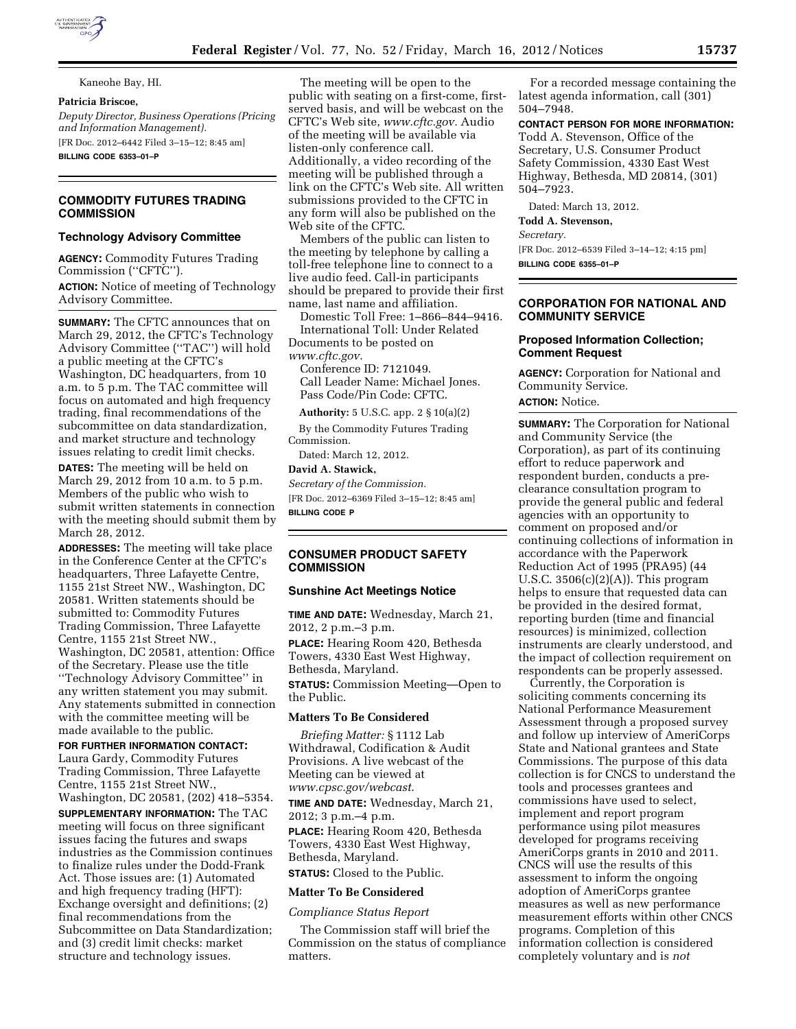

Kaneohe Bay, HI.

#### **Patricia Briscoe,**

*Deputy Director, Business Operations (Pricing and Information Management).*  [FR Doc. 2012–6442 Filed 3–15–12; 8:45 am]

**BILLING CODE 6353–01–P** 

# **COMMODITY FUTURES TRADING COMMISSION**

#### **Technology Advisory Committee**

**AGENCY:** Commodity Futures Trading Commission (''CFTC'').

**ACTION:** Notice of meeting of Technology Advisory Committee.

**SUMMARY:** The CFTC announces that on March 29, 2012, the CFTC's Technology Advisory Committee (''TAC'') will hold a public meeting at the CFTC's Washington, DC headquarters, from 10 a.m. to 5 p.m. The TAC committee will focus on automated and high frequency trading, final recommendations of the subcommittee on data standardization, and market structure and technology issues relating to credit limit checks.

**DATES:** The meeting will be held on March 29, 2012 from 10 a.m. to 5 p.m. Members of the public who wish to submit written statements in connection with the meeting should submit them by March 28, 2012.

**ADDRESSES:** The meeting will take place in the Conference Center at the CFTC's headquarters, Three Lafayette Centre, 1155 21st Street NW., Washington, DC 20581. Written statements should be submitted to: Commodity Futures Trading Commission, Three Lafayette Centre, 1155 21st Street NW., Washington, DC 20581, attention: Office of the Secretary. Please use the title ''Technology Advisory Committee'' in any written statement you may submit. Any statements submitted in connection with the committee meeting will be made available to the public.

## **FOR FURTHER INFORMATION CONTACT:**

Laura Gardy, Commodity Futures Trading Commission, Three Lafayette Centre, 1155 21st Street NW., Washington, DC 20581, (202) 418–5354.

**SUPPLEMENTARY INFORMATION:** The TAC meeting will focus on three significant issues facing the futures and swaps industries as the Commission continues to finalize rules under the Dodd-Frank Act. Those issues are: (1) Automated and high frequency trading (HFT): Exchange oversight and definitions; (2) final recommendations from the Subcommittee on Data Standardization; and (3) credit limit checks: market structure and technology issues.

The meeting will be open to the public with seating on a first-come, firstserved basis, and will be webcast on the CFTC's Web site, *www.cftc.gov.* Audio of the meeting will be available via listen-only conference call. Additionally, a video recording of the meeting will be published through a link on the CFTC's Web site. All written submissions provided to the CFTC in any form will also be published on the Web site of the CFTC.

Members of the public can listen to the meeting by telephone by calling a toll-free telephone line to connect to a live audio feed. Call-in participants should be prepared to provide their first name, last name and affiliation.

Domestic Toll Free: 1–866–844–9416. International Toll: Under Related Documents to be posted on *www.cftc.gov.* 

Conference ID: 7121049. Call Leader Name: Michael Jones. Pass Code/Pin Code: CFTC.

**Authority:** 5 U.S.C. app. 2 § 10(a)(2)

By the Commodity Futures Trading Commission.

Dated: March 12, 2012.

# **David A. Stawick,**

*Secretary of the Commission.*  [FR Doc. 2012–6369 Filed 3–15–12; 8:45 am] **BILLING CODE P** 

## **CONSUMER PRODUCT SAFETY COMMISSION**

#### **Sunshine Act Meetings Notice**

**TIME AND DATE:** Wednesday, March 21, 2012, 2 p.m.–3 p.m.

**PLACE:** Hearing Room 420, Bethesda Towers, 4330 East West Highway, Bethesda, Maryland.

**STATUS:** Commission Meeting—Open to the Public.

# **Matters To Be Considered**

*Briefing Matter:* § 1112 Lab Withdrawal, Codification & Audit Provisions. A live webcast of the Meeting can be viewed at *[www.cpsc.gov/webcast](http://www.cpsc.gov/webcast)*.

**TIME AND DATE:** Wednesday, March 21, 2012; 3 p.m.–4 p.m.

**PLACE:** Hearing Room 420, Bethesda Towers, 4330 East West Highway, Bethesda, Maryland.

**STATUS:** Closed to the Public.

#### **Matter To Be Considered**

#### *Compliance Status Report*

The Commission staff will brief the Commission on the status of compliance matters.

For a recorded message containing the latest agenda information, call (301) 504–7948.

**CONTACT PERSON FOR MORE INFORMATION:** 

Todd A. Stevenson, Office of the Secretary, U.S. Consumer Product Safety Commission, 4330 East West Highway, Bethesda, MD 20814, (301) 504–7923.

Dated: March 13, 2012.

**Todd A. Stevenson,** 

*Secretary.* 

[FR Doc. 2012–6539 Filed 3–14–12; 4:15 pm] **BILLING CODE 6355–01–P** 

# **CORPORATION FOR NATIONAL AND COMMUNITY SERVICE**

## **Proposed Information Collection; Comment Request**

**AGENCY:** Corporation for National and Community Service. **ACTION:** Notice.

**SUMMARY:** The Corporation for National and Community Service (the Corporation), as part of its continuing effort to reduce paperwork and respondent burden, conducts a preclearance consultation program to provide the general public and federal agencies with an opportunity to comment on proposed and/or continuing collections of information in accordance with the Paperwork Reduction Act of 1995 (PRA95) (44 U.S.C.  $3506(c)(2)(A)$ ). This program helps to ensure that requested data can be provided in the desired format, reporting burden (time and financial resources) is minimized, collection instruments are clearly understood, and the impact of collection requirement on respondents can be properly assessed.

Currently, the Corporation is soliciting comments concerning its National Performance Measurement Assessment through a proposed survey and follow up interview of AmeriCorps State and National grantees and State Commissions. The purpose of this data collection is for CNCS to understand the tools and processes grantees and commissions have used to select, implement and report program performance using pilot measures developed for programs receiving AmeriCorps grants in 2010 and 2011. CNCS will use the results of this assessment to inform the ongoing adoption of AmeriCorps grantee measures as well as new performance measurement efforts within other CNCS programs. Completion of this information collection is considered completely voluntary and is *not*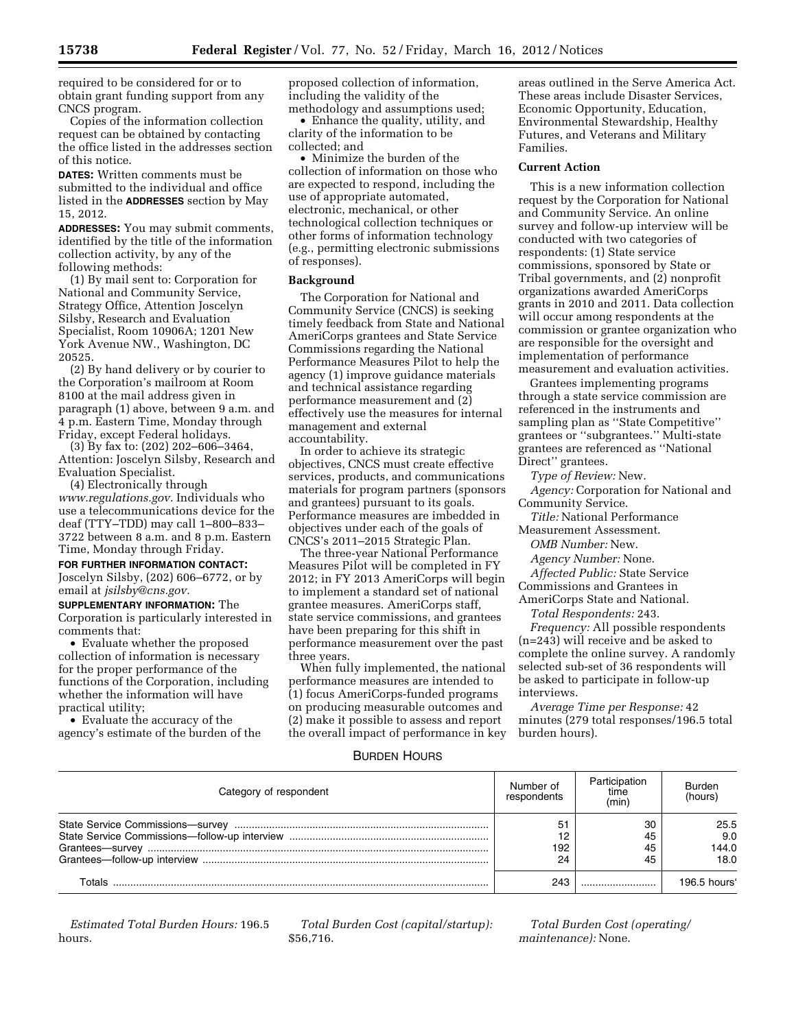required to be considered for or to obtain grant funding support from any CNCS program.

Copies of the information collection request can be obtained by contacting the office listed in the addresses section of this notice.

**DATES:** Written comments must be submitted to the individual and office listed in the **ADDRESSES** section by May 15, 2012.

**ADDRESSES:** You may submit comments, identified by the title of the information collection activity, by any of the following methods:

(1) By mail sent to: Corporation for National and Community Service, Strategy Office, Attention Joscelyn Silsby, Research and Evaluation Specialist, Room 10906A; 1201 New York Avenue NW., Washington, DC 20525.

(2) By hand delivery or by courier to the Corporation's mailroom at Room 8100 at the mail address given in paragraph (1) above, between 9 a.m. and 4 p.m. Eastern Time, Monday through Friday, except Federal holidays.

(3) By fax to: (202) 202–606–3464, Attention: Joscelyn Silsby, Research and Evaluation Specialist.

(4) Electronically through *[www.regulations.gov.](http://www.regulations.gov.)* Individuals who use a telecommunications device for the deaf (TTY–TDD) may call 1–800–833– 3722 between 8 a.m. and 8 p.m. Eastern Time, Monday through Friday.

## **FOR FURTHER INFORMATION CONTACT:**

Joscelyn Silsby, (202) 606–6772, or by email at *[jsilsby@cns.gov.](mailto:jsilsby@cns.gov)* 

**SUPPLEMENTARY INFORMATION:** The Corporation is particularly interested in comments that:

• Evaluate whether the proposed collection of information is necessary for the proper performance of the functions of the Corporation, including whether the information will have practical utility;

• Evaluate the accuracy of the agency's estimate of the burden of the proposed collection of information, including the validity of the methodology and assumptions used;

• Enhance the quality, utility, and clarity of the information to be collected; and

• Minimize the burden of the collection of information on those who are expected to respond, including the use of appropriate automated, electronic, mechanical, or other technological collection techniques or other forms of information technology (e.g., permitting electronic submissions of responses).

#### **Background**

The Corporation for National and Community Service (CNCS) is seeking timely feedback from State and National AmeriCorps grantees and State Service Commissions regarding the National Performance Measures Pilot to help the agency (1) improve guidance materials and technical assistance regarding performance measurement and (2) effectively use the measures for internal management and external accountability.

In order to achieve its strategic objectives, CNCS must create effective services, products, and communications materials for program partners (sponsors and grantees) pursuant to its goals. Performance measures are imbedded in objectives under each of the goals of CNCS's 2011–2015 Strategic Plan.

The three-year National Performance Measures Pilot will be completed in FY 2012; in FY 2013 AmeriCorps will begin to implement a standard set of national grantee measures. AmeriCorps staff, state service commissions, and grantees have been preparing for this shift in performance measurement over the past three years.

When fully implemented, the national performance measures are intended to (1) focus AmeriCorps-funded programs on producing measurable outcomes and (2) make it possible to assess and report the overall impact of performance in key

areas outlined in the Serve America Act. These areas include Disaster Services, Economic Opportunity, Education, Environmental Stewardship, Healthy Futures, and Veterans and Military Families.

## **Current Action**

This is a new information collection request by the Corporation for National and Community Service. An online survey and follow-up interview will be conducted with two categories of respondents: (1) State service commissions, sponsored by State or Tribal governments, and (2) nonprofit organizations awarded AmeriCorps grants in 2010 and 2011. Data collection will occur among respondents at the commission or grantee organization who are responsible for the oversight and implementation of performance measurement and evaluation activities.

Grantees implementing programs through a state service commission are referenced in the instruments and sampling plan as ''State Competitive'' grantees or ''subgrantees.'' Multi-state grantees are referenced as ''National Direct'' grantees.

*Type of Review:* New.

*Agency:* Corporation for National and Community Service.

*Title:* National Performance Measurement Assessment.

*OMB Number:* New.

*Agency Number:* None.

*Affected Public:* State Service

Commissions and Grantees in

AmeriCorps State and National.

*Total Respondents:* 243.

*Frequency:* All possible respondents (n=243) will receive and be asked to complete the online survey. A randomly selected sub-set of 36 respondents will be asked to participate in follow-up interviews.

*Average Time per Response:* 42 minutes (279 total responses/196.5 total burden hours).

## BURDEN HOURS

| Category of respondent | Number of<br>respondents | Participation<br>time<br>(min) | Burden<br>(hours)                              |
|------------------------|--------------------------|--------------------------------|------------------------------------------------|
|                        | 51<br>192<br>24          | 30<br>45<br>45<br>45           | 25.5<br>9.0<br>144.0<br>18.0                   |
| Totals                 | 243                      |                                | $196.5$ hours <sup><math>\epsilon</math></sup> |

*Estimated Total Burden Hours:* 196.5 hours.

*Total Burden Cost (capital/startup):*  \$56,716.

*Total Burden Cost (operating/ maintenance):* None.